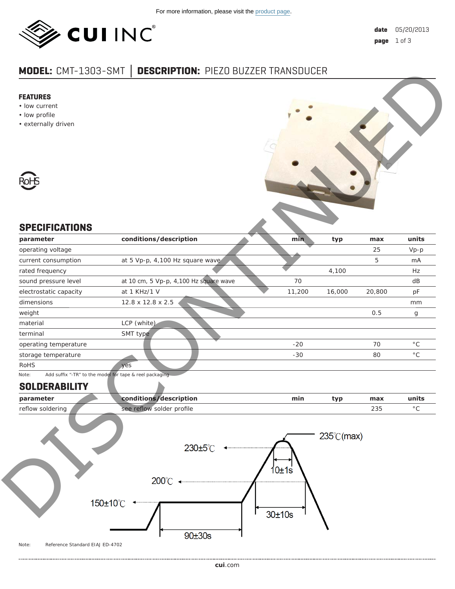

# **MODEL:** CMT-1303-SMT **│ DESCRIPTION:** PIEZO BUZZER TRANSDUCER

#### **FEATURES**

- low current
- low profile
- externally driven



## **SPECIFICATIONS**

| <b>FEATURES</b><br>• low current<br>• low profile<br>• externally driven    |        |        |         |                       |
|-----------------------------------------------------------------------------|--------|--------|---------|-----------------------|
|                                                                             |        |        |         |                       |
| <b>RoHS</b>                                                                 |        |        |         |                       |
| <b>SPECIFICATIONS</b>                                                       |        |        |         |                       |
| conditions/description<br>parameter                                         | min    | typ    | max     | units                 |
| operating voltage<br>at 5 Vp-p, 4,100 Hz square wave<br>current consumption |        |        | 25<br>5 | $Vp-p$<br>mA          |
| rated frequency                                                             |        | 4,100  |         | Hz                    |
| at 10 cm, 5 Vp-p, 4,100 Hz square wave<br>sound pressure level              | 70     |        |         | dB                    |
| at 1 KHz/1 V<br>electrostatic capacity                                      | 11,200 | 16,000 | 20,800  | pF                    |
| dimensions<br>12.8 x 12.8 x 2.5                                             |        |        |         | mm                    |
| weight                                                                      |        |        | 0.5     |                       |
| LCP (white)<br>material                                                     |        |        |         | g                     |
| terminal<br>SMT type                                                        |        |        |         |                       |
| operating temperature                                                       | $-20$  |        | 70      | $^{\circ} \mathrm C$  |
| storage temperature                                                         | $-30$  |        | 80      | $^{\circ} \mathsf{C}$ |
| <b>RoHS</b><br>yes                                                          |        |        |         |                       |
| Add suffix "-TR" to the model for tape & reel packaging<br>Note:            |        |        |         |                       |
| <b>SOLDERABILITY</b>                                                        |        |        |         |                       |
| conditions/description<br>parameter                                         | min    | typ    | max     | units                 |
| see reflow solder profile<br>reflow soldering                               |        |        | 235     | $^{\circ} \mathsf{C}$ |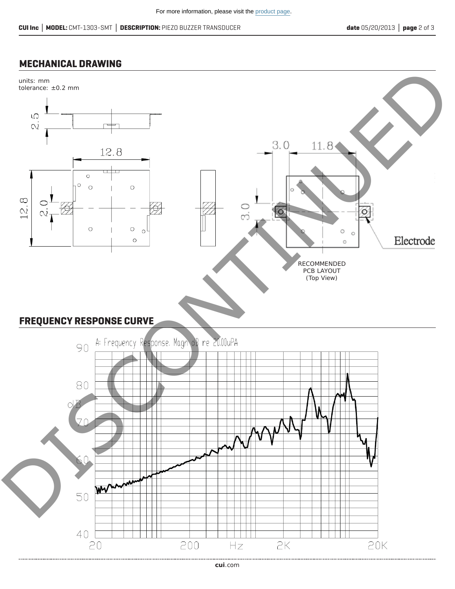### **MECHANICAL DRAWING**